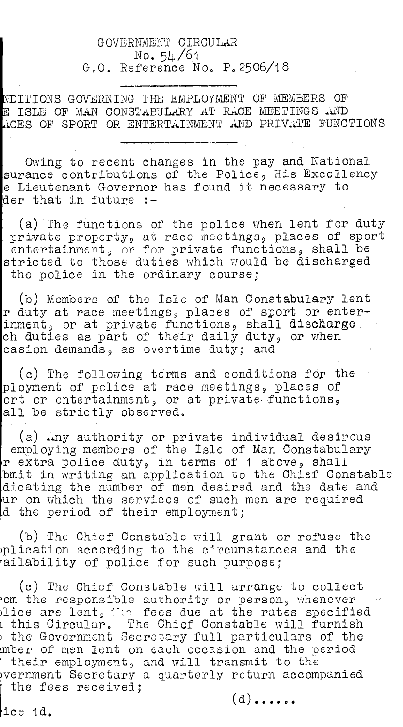## GOVERNMENT CIRCULAR No. 54/61 G,O. Reference No. P.2506/18

**I**ITIONS GOVERNING TME EMPLOYMENT OF MEMBERS OF **I**  E ISLE OF MAN CONSTABULARY AT RACE MEETINGS AND ICES OF SPORT OR ENTERTAINMENT .AND PRIVATE FUNCTIONS

Owing to recent changes in the pay and National surance contributions of the Police, His Excellency e Lieutenant Governor has found it necessary to der that in future :-

(a) The functions of the police when lent for duty private property, at race meetings, places of sport entertainment, or for private functions, shall be stricted to those duties which would be discharged the police in the ordinary course;

(b) Members of the Isle of Man Constabulary lent r duty at race meetings, places of sport or enterinment, or at private functions, shall discharge. ch duties as part of their daily duty, or when casion demands, as overtime duty; and

(c) The following terms and conditions for the ployment of police at race meetings, places of ort or entertainment, or at private-functions, all be strictly observed.

(a) Any authority or private individual desirous employing members of the Isle of Man Constabulary r extra police duty, in terms of 1 above, shall bmit in writing an application to the Chief Constable dicating the number of men desired and the date and ur on which the services of such men are required d the period of their employment;

(b) The Chief Constable will grant or refuse the  $\phi$ plication according to the circumstances and the ailability of police for such purpose;

(c) The Chief Constable will arrange to collect om the responsible authority or person, whenever dice are lent, the fees due at the rates specified t this Circular. The Chief Constable will furnish the Government Secretary full particulars of the mber of men lent on each occasion and the period their employment, and will transmit to the vernment Secretary a quarterly return accompanied the fees received;

 $(d)$ .....

ice 1d.